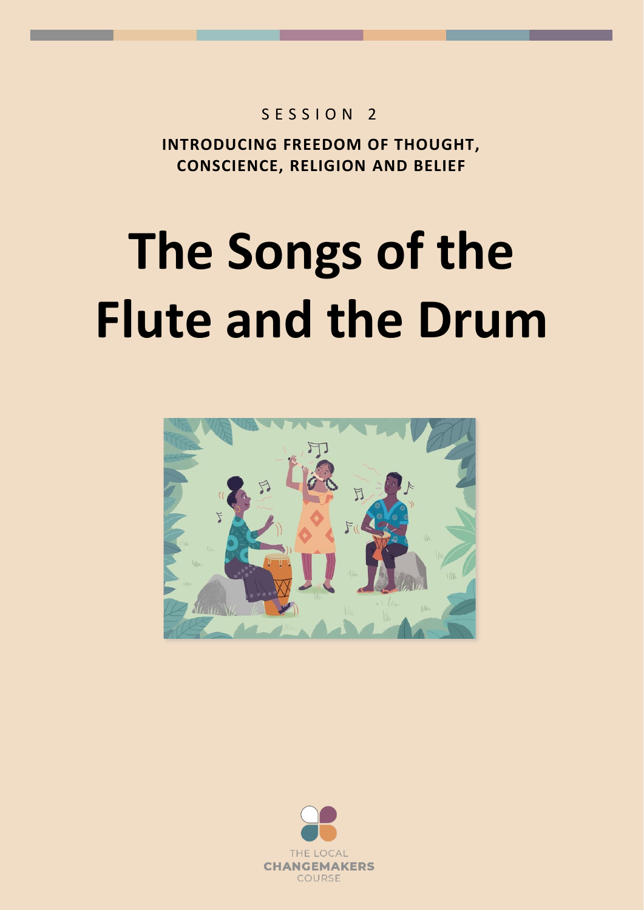## $S$  F S S I O N 2

**INTRODUCING FREEDOM OF THOUGHT, CONSCIENCE, RELIGION AND BELIEF**

## **The Songs of the Flute and the Drum**



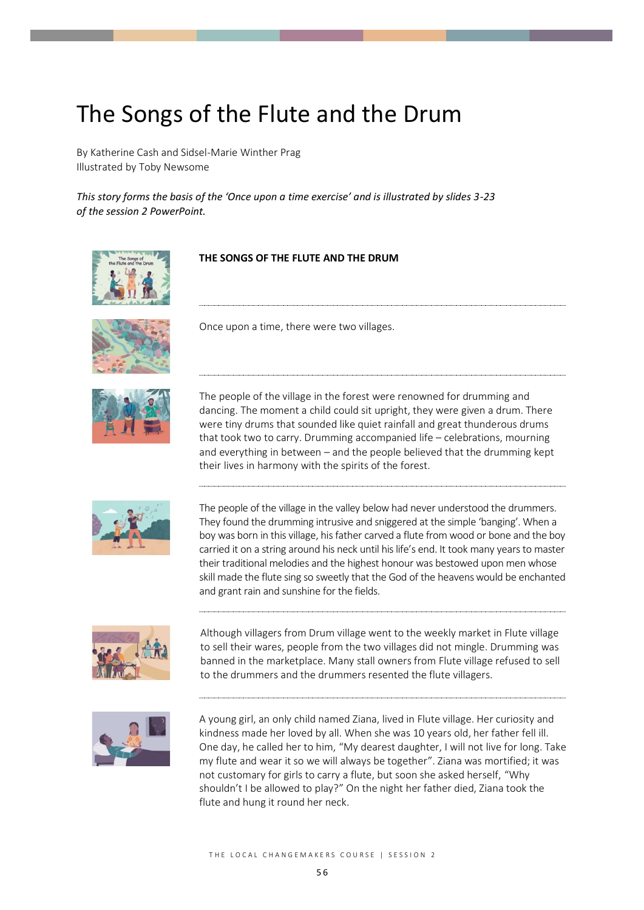## The Songs of the Flute and the Drum

By Katherine Cash and Sidsel-Marie Winther Prag Illustrated by Toby Newsome

*This story forms the basis of the 'Once upon a time exercise' and is illustrated by slides 3-23 of the session 2 PowerPoint.*







## **THE SONGS OF THE FLUTE AND THE DRUM**

Once upon a time, there were two villages.

The people of the village in the forest were renowned for drumming and dancing. The moment a child could sit upright, they were given a drum. There were tiny drums that sounded like quiet rainfall and great thunderous drums that took two to carry. Drumming accompanied life – celebrations, mourning and everything in between – and the people believed that the drumming kept their lives in harmony with the spirits of the forest.



The people of the village in the valley below had never understood the drummers. They found the drumming intrusive and sniggered at the simple 'banging'. When a boy was born in this village, his father carved a flute from wood or bone and the boy carried it on a string around his neck until his life's end. It took many years to master their traditional melodies and the highest honour was bestowed upon men whose skill made the flute sing so sweetly that the God of the heavens would be enchanted and grant rain and sunshine for the fields.



Although villagers from Drum village went to the weekly market in Flute village to sell their wares, people from the two villages did not mingle. Drumming was banned in the marketplace. Many stall owners from Flute village refused to sell to the drummers and the drummers resented the flute villagers.



A young girl, an only child named Ziana, lived in Flute village. Her curiosity and kindness made her loved by all. When she was 10 years old, her father fell ill. One day, he called her to him, "My dearest daughter, I will not live for long. Take my flute and wear it so we will always be together". Ziana was mortified; it was not customary for girls to carry a flute, but soon she asked herself, "Why shouldn't I be allowed to play?" On the night her father died, Ziana took the flute and hung it round her neck.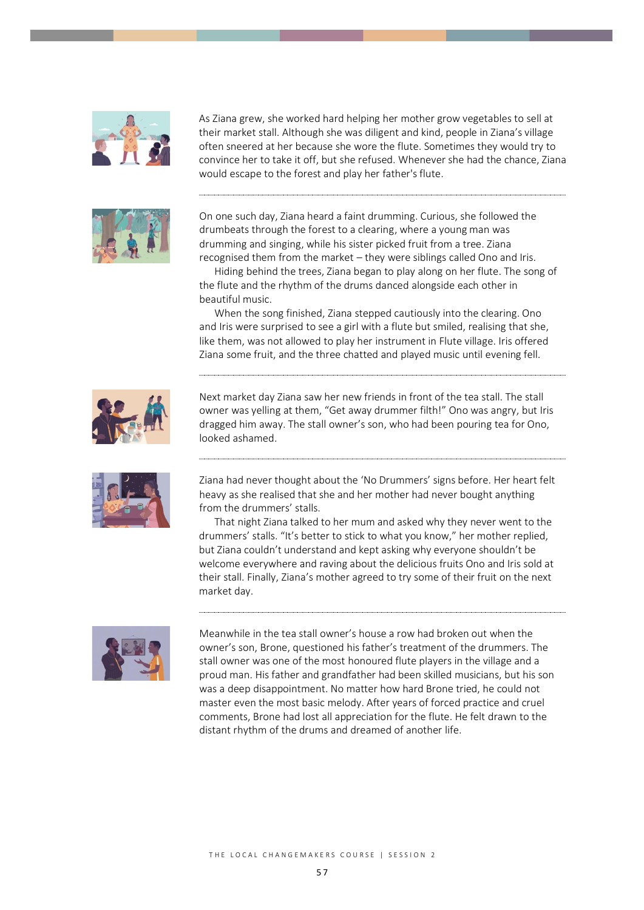

As Ziana grew, she worked hard helping her mother grow vegetables to sell at their market stall. Although she was diligent and kind, people in Ziana's village often sneered at her because she wore the flute. Sometimes they would try to convince her to take it off, but she refused. Whenever she had the chance, Ziana would escape to the forest and play her father's flute.



On one such day, Ziana heard a faint drumming. Curious, she followed the drumbeats through the forest to a clearing, where a young man was drumming and singing, while his sister picked fruit from a tree. Ziana recognised them from the market – they were siblings called Ono and Iris.

Hiding behind the trees, Ziana began to play along on her flute. The song of the flute and the rhythm of the drums danced alongside each other in beautiful music.

When the song finished, Ziana stepped cautiously into the clearing. Ono and Iris were surprised to see a girl with a flute but smiled, realising that she, like them, was not allowed to play her instrument in Flute village. Iris offered Ziana some fruit, and the three chatted and played music until evening fell.



Next market day Ziana saw her new friends in front of the tea stall. The stall owner was yelling at them, "Get away drummer filth!" Ono was angry, but Iris dragged him away. The stall owner's son, who had been pouring tea for Ono, looked ashamed.



Ziana had never thought about the 'No Drummers' signs before. Her heart felt heavy as she realised that she and her mother had never bought anything from the drummers' stalls.

That night Ziana talked to her mum and asked why they never went to the drummers' stalls. "It's better to stick to what you know," her mother replied, but Ziana couldn't understand and kept asking why everyone shouldn't be welcome everywhere and raving about the delicious fruits Ono and Iris sold at their stall. Finally, Ziana's mother agreed to try some of their fruit on the next market day.



Meanwhile in the tea stall owner's house a row had broken out when the owner's son, Brone, questioned his father's treatment of the drummers. The stall owner was one of the most honoured flute players in the village and a proud man. His father and grandfather had been skilled musicians, but his son was a deep disappointment. No matter how hard Brone tried, he could not master even the most basic melody. After years of forced practice and cruel comments, Brone had lost all appreciation for the flute. He felt drawn to the distant rhythm of the drums and dreamed of another life.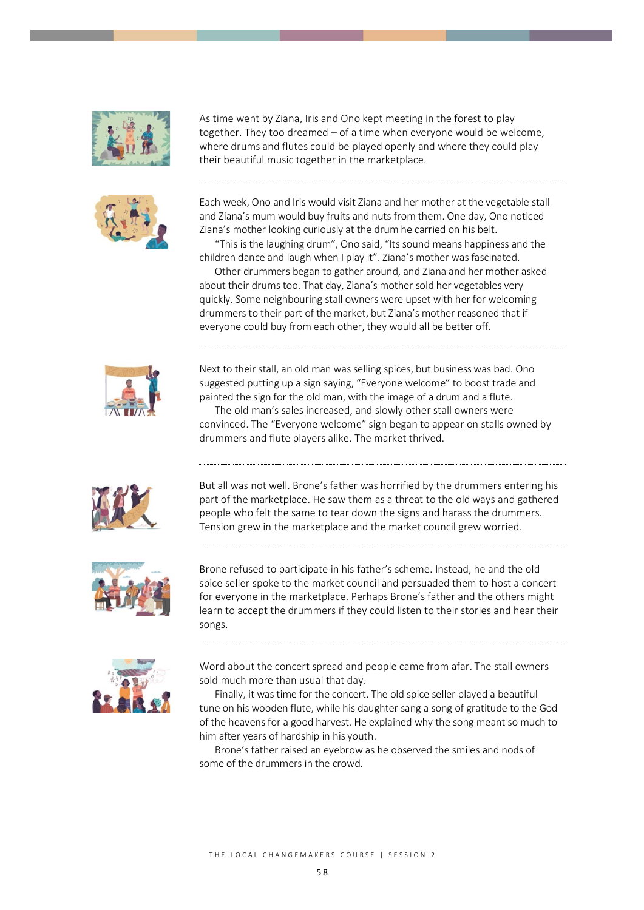



As time went by Ziana, Iris and Ono kept meeting in the forest to play together. They too dreamed – of a time when everyone would be welcome, where drums and flutes could be played openly and where they could play their beautiful music together in the marketplace.

Each week, Ono and Iris would visit Ziana and her mother at the vegetable stall and Ziana's mum would buy fruits and nuts from them. One day, Ono noticed Ziana's mother looking curiously at the drum he carried on his belt.

"This is the laughing drum", Ono said, "Its sound means happiness and the children dance and laugh when I play it". Ziana's mother was fascinated.

Other drummers began to gather around, and Ziana and her mother asked about their drums too. That day, Ziana's mother sold her vegetables very quickly. Some neighbouring stall owners were upset with her for welcoming drummers to their part of the market, but Ziana's mother reasoned that if everyone could buy from each other, they would all be better off.



Next to their stall, an old man was selling spices, but business was bad. Ono suggested putting up a sign saying, "Everyone welcome" to boost trade and painted the sign for the old man, with the image of a drum and a flute.

The old man's sales increased, and slowly other stall owners were convinced. The "Everyone welcome" sign began to appear on stalls owned by drummers and flute players alike. The market thrived.



But all was not well. Brone's father was horrified by the drummers entering his part of the marketplace. He saw them as a threat to the old ways and gathered people who felt the same to tear down the signs and harass the drummers. Tension grew in the marketplace and the market council grew worried.



Brone refused to participate in his father's scheme. Instead, he and the old spice seller spoke to the market council and persuaded them to host a concert for everyone in the marketplace. Perhaps Brone's father and the others might learn to accept the drummers if they could listen to their stories and hear their songs.



Word about the concert spread and people came from afar. The stall owners sold much more than usual that day.

Finally, it was time for the concert. The old spice seller played a beautiful tune on his wooden flute, while his daughter sang a song of gratitude to the God of the heavens for a good harvest. He explained why the song meant so much to him after years of hardship in his youth.

Brone's father raised an eyebrow as he observed the smiles and nods of some of the drummers in the crowd.